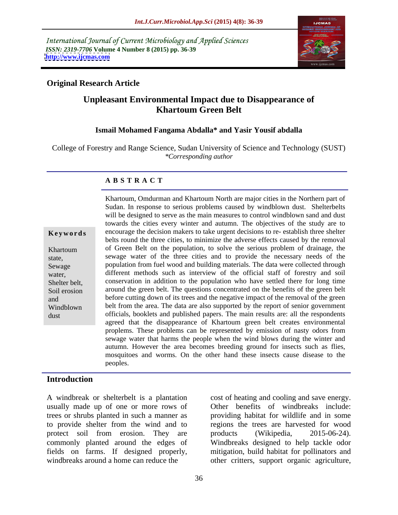International Journal of Current Microbiology and Applied Sciences *ISSN: 2319-7706* **Volume 4 Number 8 (2015) pp. 36-39 <http://www.ijcmas.com>**



### **Original Research Article**

# **Unpleasant Environmental Impact due to Disappearance of Khartoum Green Belt**

### **Ismail Mohamed Fangama Abdalla\* and Yasir Yousif abdalla**

College of Forestry and Range Science, Sudan University of Science and Technology (SUST) *\*Corresponding author*

### **A B S T R A C T**

dust

Khartoum, Omdurman and Khartoum North are major cities in the Northern part of Sudan. In response to serious problems caused by windblown dust. Shelterbelts will be designed to serve as the main measures to control windblown sand and dust towards the cities every winter and autumn. The objectives of the study are to encourage the decision makers to take urgent decisions to re- establish three shelter **Ke ywo rds** belts round the three cities, to minimize the adverse effects caused by the removal of Green Belt on the population, to solve the serious problem of drainage, the Khartoum sewage water of the three cities and to provide the necessary needs of the state, population from fuel wood and building materials. The data were collected through Sewage water, different methods such as interview of the official staff of forestry and soil conservation in addition to the population who have settled there for long time Shelter belt, Soil erosion around the green belt. The questions concentrated on the benefits of the green belt before cutting down of its trees and the negative impact of the removal of the green and belt from the area. The data are also supported by the report of senior government Windblown officials, booklets and published papers. The main results are: all the respondents agreed that the disappearance of Khartoum green belt creates environmental proplems. These problems can be represented by emission of nasty odors from sewage water that harms the people when the wind blows during the winter and autumn. However the area becomes breeding ground for insects such as flies, mosquitoes and worms. On the other hand these insects cause disease to the peoples.

### **Introduction**

A windbreak or shelterbelt is a plantation cost of heating and cooling and save energy. usually made up of one or more rows of Other benefits of windbreaks include: trees or shrubs planted in such a manner as providing habitat for wildlife and in some to provide shelter from the wind and to regions the trees are harvested for wood protect soil from erosion. They are products (Wikipedia, 2015-06-24). commonly planted around the edges of fields on farms. If designed properly, mitigation, build habitat for pollinators and windbreaks around a home can reduce the other critters, support organic agriculture,

cost of heating and cooling and save energy. Other benefits of windbreaks include: products (Wikipedia, 2015-06-24). Windbreaks designed to help tackle odor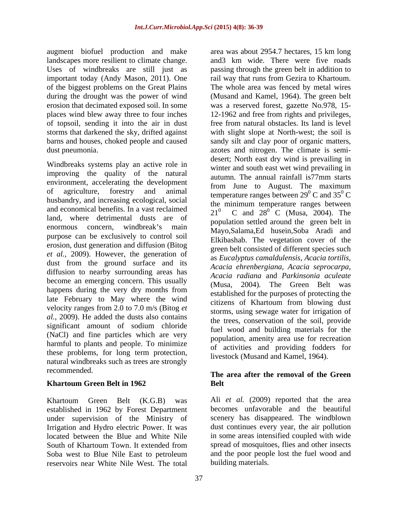augment biofuel production and make of topsoil, sending it into the air in dust storms that darkened the sky, drifted against

Windbreaks systems play an active role in improving the quality of the natural within the annual rainfall is 77mm starts environment, accelerating the development husbandry, and increasing ecological, social and economical benefits. In a vast reclaimed  $\frac{dP}{21^0}$ land, where detrimental dusts are of purpose can be exclusively to control soil erosion, dust generation and diffusion (Bitog *et al.,* 2009). However, the generation of dust from the ground surface and its diffusion to nearby surrounding areas has become an emerging concern. This usually happens during the very dry months from late February to May where the wind velocity ranges from 2.0 to 7.0 m/s (Bitog *et al.,* 2009). He added the dusts also contains significant amount of sodium chloride (NaCl) and fine particles which are very harmful to plants and people. To minimize these problems, for long term protection, natural windbreaks such as trees are strongly

established in 1962 by Forest Department under supervision of the Ministry of Irrigation and Hydro electric Power. It was Soba west to Blue Nile East to petroleum reservoirs near White Nile West. The total

landscapes more resilient to climate change. and3 km wide. There were five roads Uses of windbreaks are still just as passing through the green belt in addition to important today (Andy Mason, 2011). One rail way that runs from Gezira to Khartoum. of the biggest problems on the Great Plains The whole area was fenced by metal wires during the drought was the power of wind (Musand and Kamel,1964). The green belt erosion that decimated exposed soil. In some was a reserved forest, gazette No.978, 15 places wind blew away three to four inches 12-1962 and free from rights and privileges, barns and houses, choked people and caused sandy silt and clay poor of organic matters, dust pneumonia. azotes and nitrogen. The climate is semi of agriculture, forestry and animal temperature ranges between  $29^{\circ}$  C and  $35^{\circ}$  C enormous concern, windbreak's main Mayo,Salama,Ed husein,Soba Aradi and area was about 2954.7 hectares, 15 km long free from natural obstacles. Its land is level with slight slope at North-west; the soil is desert; North east dry wind is prevailing in winter and south east wet wind prevailing in autumn. The annual rainfall is77mm starts from June to August. The maximum C and  $35^{\circ}$  C C the minimum temperature ranges between C and  $28^{0}$  C (Musa, 2004). The  $^{0}$  C (Musa, 2004). The population settled around the green belt in Elkibashab. The vegetation cover of the green belt consisted of different species such as *Eucalyptus camaldulensis, Acacia tortilis, Acacia ehrenbergiana, Acacia seprocarpa, Acacia radiana* and *Parkinsonia aculeate* (Musa, 2004)*.* The Green Belt was established for the purposes of protecting the citizens of Khartoum from blowing dust storms, using sewage water for irrigation of the trees, conservation of the soil, provide fuel wood and building materials for the population, amenity area use for recreation of activities and providing fodders for livestock (Musand and Kamel, 1964).

### recommended. **The area after the removal of the Green Khartoum Green Belt in 1962 Belt**

Khartoum Green Belt (K.G.B) was Ali et al. (2009) reported that the area located between the Blue and White Nile in some areas intensified coupled with wide South of Khartoum Town. It extended from spread of mosquitoes, flies and other insects Ali *et al.* (2009) reported that the area becomes unfavorable and the beautiful scenery has disappeared. The windblown dust continues every year, the air pollution spread of mosquitoes, flies and other insects and the poor people lost the fuel wood and building materials.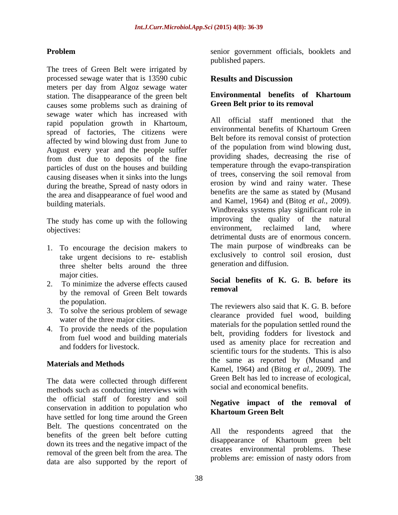The trees of Green Belt were irrigated by processed sewage water that is 13590 cubic meters per day from Algoz sewage water<br>station The disappearance of the green belt **Environmental benefits of Khartoum** station. The disappearance of the green belt causes some problems such as draining of sewage water which has increased with rapid population growth in Khartoum,<br>environmental benefits of Khartoum Green spread of factories, The citizens were affected by wind blowing dust from June to August every year and the people suffer from dust due to deposits of the fine particles of dust on the houses and building causing diseases when it sinks into the lungs during the breathe, Spread of nasty odors in the area and disappearance of fuel wood and

The study has come up with the following the quality of the natural environment. reclaimed land, where

- 1. To encourage the decision makers to take urgent decisions to re- establish three shelter belts around the three major cities.
- 2. To minimize the adverse effects caused  $\frac{\text{Socual}}{\text{Socual}}$ by the removal of Green Belt towards
- 3. To solve the serious problem of sewage water of the three major cities.
- 4. To provide the needs of the population

The data were collected through different methods such as conducting interviews with the official staff of forestry and soil conservation in addition to population who have settled for long time around the Green Belt. The questions concentrated on the benefits of the green belt before cutting down its trees and the negative impact of the removal of the green belt from the area. The data are also supported by the report of

**Problem** senior government officials, booklets and published papers.

# **Results and Discussion**

### **Environmental benefits of Khartoum Green Belt prior to its removal**

building materials. and Kamel, 1964) and (Bitog *et al.,* 2009). objectives: environment, reclaimed land, where All official staff mentioned that the environmental benefits of Khartoum Green Belt before its removal consist of protection of the population from wind blowing dust, providing shades, decreasing the rise of temperature through the evapo-transpiration of trees, conserving the soil removal from erosion by wind and rainy water. These benefits are the same as stated by (Musand Windbreaks systems play significant role in improving the quality of the natural environment, reclaimed land, where detrimental dusts are of enormous concern. The main purpose of windbreaks can be exclusively to control soil erosion, dust generation and diffusion.

### **Social benefits of K. G. B. before its removal**

the population. The reviewers also said that K. G. B. before from fuel wood and building materials bend as a manity place for meanstian and and fodders for livestock.<br>
scientific tours for the students. This is also **Materials and Methods** Kamel, 1964) and (Bitog *et al.,* 2009). The clearance provided fuel wood, building materials for the population settled round the belt, providing fodders for livestock and used as amenity place for recreation and the same as reported by (Musand and Green Belt has led to increase of ecological, social and economical benefits.

## **Negative impact of the removal of Khartoum Green Belt**

All the respondents agreed that the disappearance of Khartoum green belt creates environmental problems. These problems are: emission of nasty odors from